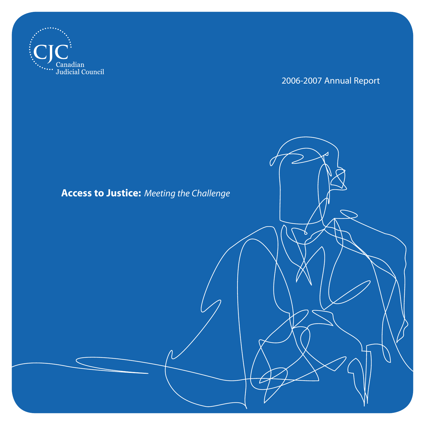

2006-2007 Annual Report

# **Access to Justice:** *Meeting the Challenge*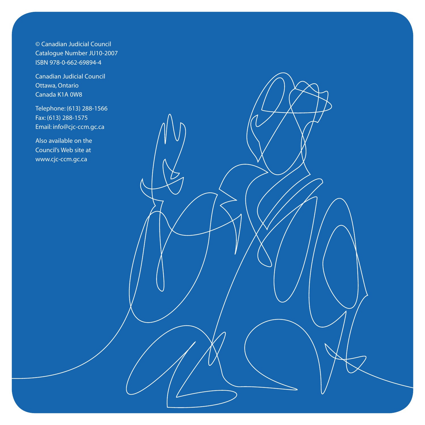© Canadian Judicial Council Catalogue Number JU10-2007 ISBN 978-0-662-69894-4

Canadian Judicial Council Ottawa, Ontario Canada K1A 0W8

Telephone: (613) 288-1566 Fax: (613) 288-1575 Email: info@cjc-ccm.gc.ca

Also available on the Council's Web site at www.cjc-ccm.gc.ca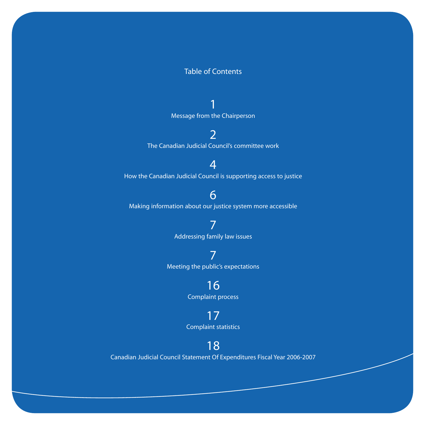# Table of Contents

1 [Message from the Chairperson](#page-4-0)

# $\overline{\phantom{a}}$

[The Canadian Judicial Council's committee work](#page-5-0)

# 4

[How the Canadian Judicial Council is supporting access to justice](#page-7-0)

# 6

[Making information about our justice system more accessible](#page-9-0)

# 7

[Addressing family law issues](#page-10-0)

7

[Meeting the public's expectations](#page-10-0)

# 16

[Complaint process](#page-19-0)

# 17

[Complaint statistics](#page-20-0)

# 18

[Canadian Judicial Council Statement Of Expenditures Fiscal Year 2006-2007](#page-21-0)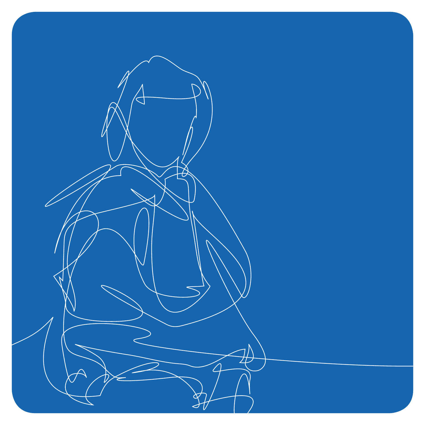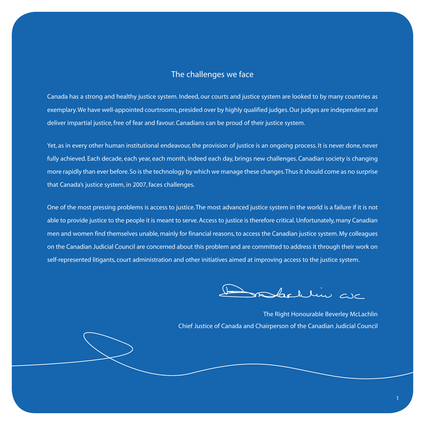## The challenges we face

<span id="page-4-0"></span>Canada has a strong and healthy justice system. Indeed, our courts and justice system are looked to by many countries as exemplary. We have well-appointed courtrooms, presided over by highly qualified judges. Our judges are independent and deliver impartial justice, free of fear and favour. Canadians can be proud of their justice system.

Yet, as in every other human institutional endeavour, the provision of justice is an ongoing process. It is never done, never fully achieved. Each decade, each year, each month, indeed each day, brings new challenges. Canadian society is changing more rapidly than ever before. So is the technology by which we manage these changes. Thus it should come as no surprise that Canada's justice system, in 2007, faces challenges.

One of the most pressing problems is access to justice. The most advanced justice system in the world is a failure if it is not able to provide justice to the people it is meant to serve. Access to justice is therefore critical. Unfortunately, many Canadian men and women find themselves unable, mainly for financial reasons, to access the Canadian justice system. My colleagues on the Canadian Judicial Council are concerned about this problem and are committed to address it through their work on self-represented litigants, court administration and other initiatives aimed at improving access to the justice system.

Sadrehlin arc

The Right Honourable Beverley McLachlin Chief Justice of Canada and Chairperson of the Canadian Judicial Council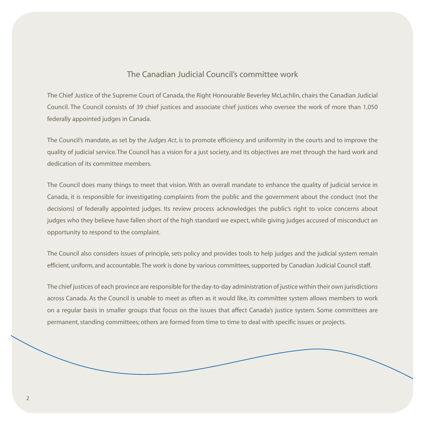#### The Canadian Judicial Council's committee work

<span id="page-5-0"></span>The Chief Justice of the Supreme Court of Canada, the Right Honourable Beverley McLachlin, chairs the Canadian Judicial Council. The Council consists of 39 chief justices and associate chief justices who oversee the work of more than 1,050 federally appointed judges in Canada.

The Council's mandate, as set by the *Judges Act*, is to promote efficiency and uniformity in the courts and to improve the quality of judicial service. The Council has a vision for a just society, and its objectives are met through the hard work and dedication of its committee members.

The Council does many things to meet that vision. With an overall mandate to enhance the quality of judicial service in Canada, it is responsible for investigating complaints from the public and the government about the conduct (not the decisions) of federally appointed judges. Its review process acknowledges the public's right to voice concerns about judges who they believe have fallen short of the high standard we expect, while giving judges accused of misconduct an opportunity to respond to the complaint.

The Council also considers issues of principle, sets policy and provides tools to help judges and the judicial system remain efficient, uniform, and accountable. The work is done by various committees, supported by Canadian Judicial Council staff.

The chief justices of each province are responsible for the day-to-day administration of justice within their own jurisdictions across Canada. As the Council is unable to meet as often as it would like, its committee system allows members to work on a regular basis in smaller groups that focus on the issues that affect Canada's justice system. Some committees are permanent, standing committees; others are formed from time to time to deal with specific issues or projects.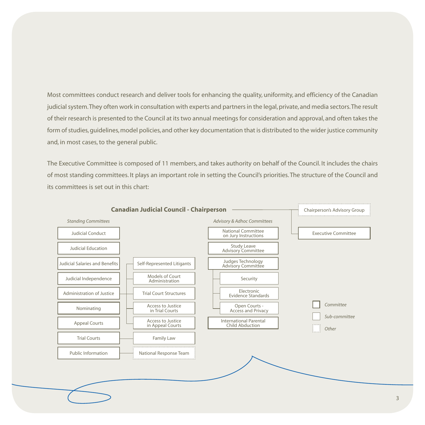Most committees conduct research and deliver tools for enhancing the quality, uniformity, and efficiency of the Canadian judicial system. They often work in consultation with experts and partners in the legal, private, and media sectors. The result of their research is presented to the Council at its two annual meetings for consideration and approval, and often takes the form of studies, guidelines, model policies, and other key documentation that is distributed to the wider justice community and, in most cases, to the general public.

The Executive Committee is composed of 11 members, and takes authority on behalf of the Council. It includes the chairs of most standing committees. It plays an important role in setting the Council's priorities. The structure of the Council and its committees is set out in this chart:

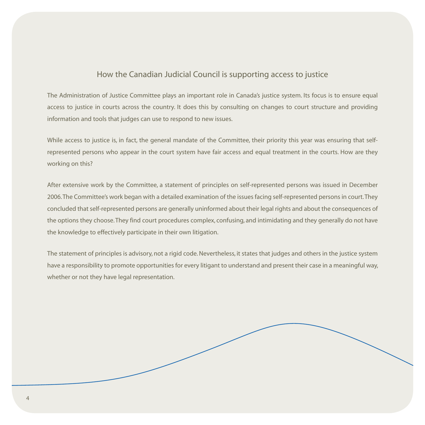#### How the Canadian Judicial Council is supporting access to justice

<span id="page-7-0"></span>The Administration of Justice Committee plays an important role in Canada's justice system. Its focus is to ensure equal access to justice in courts across the country. It does this by consulting on changes to court structure and providing information and tools that judges can use to respond to new issues.

While access to justice is, in fact, the general mandate of the Committee, their priority this year was ensuring that selfrepresented persons who appear in the court system have fair access and equal treatment in the courts. How are they working on this?

After extensive work by the Committee, a statement of principles on self-represented persons was issued in December 2006. The Committee's work began with a detailed examination of the issues facing self-represented persons in court. They concluded that self-represented persons are generally uninformed about their legal rights and about the consequences of the options they choose. They find court procedures complex, confusing, and intimidating and they generally do not have the knowledge to effectively participate in their own litigation.

The statement of principles is advisory, not a rigid code. Nevertheless, it states that judges and others in the justice system have a responsibility to promote opportunities for every litigant to understand and present their case in a meaningful way, whether or not they have legal representation.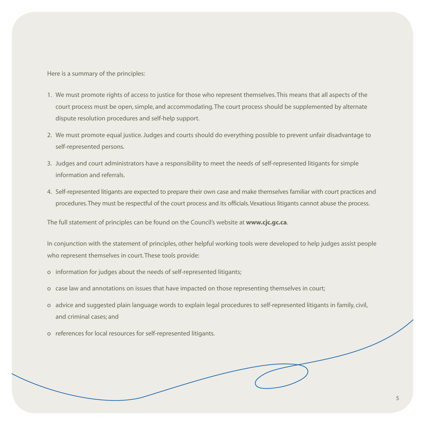Here is a summary of the principles:

- 1. We must promote rights of access to justice for those who represent themselves. This means that all aspects of the court process must be open, simple, and accommodating. The court process should be supplemented by alternate dispute resolution procedures and self-help support.
- 2. We must promote equal justice. Judges and courts should do everything possible to prevent unfair disadvantage to self-represented persons.
- 3. Judges and court administrators have a responsibility to meet the needs of self-represented litigants for simple information and referrals.
- 4. Self-represented litigants are expected to prepare their own case and make themselves familiar with court practices and procedures. They must be respectful of the court process and its officials. Vexatious litigants cannot abuse the process.

The full statement of principles can be found on the Council's website at **www.cjc.gc.ca**.

In conjunction with the statement of principles, other helpful working tools were developed to help judges assist people who represent themselves in court. These tools provide:

- o information for judges about the needs of self-represented litigants;
- o case law and annotations on issues that have impacted on those representing themselves in court;
- o advice and suggested plain language words to explain legal procedures to self-represented litigants in family, civil, and criminal cases; and
- o references for local resources for self-represented litigants.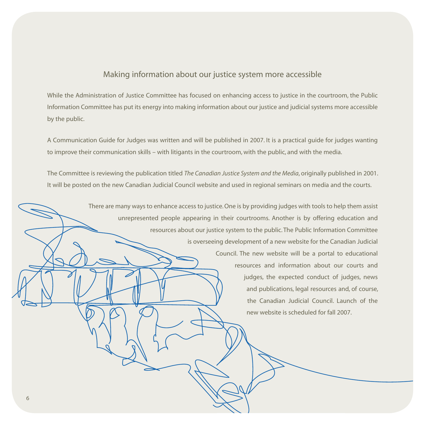#### Making information about our justice system more accessible

<span id="page-9-0"></span>While the Administration of Justice Committee has focused on enhancing access to justice in the courtroom, the Public Information Committee has put its energy into making information about our justice and judicial systems more accessible by the public.

A Communication Guide for Judges was written and will be published in 2007. It is a practical guide for judges wanting to improve their communication skills – with litigants in the courtroom, with the public, and with the media.

The Committee is reviewing the publication titled *The Canadian Justice System and the Media*, originally published in 2001. It will be posted on the new Canadian Judicial Council website and used in regional seminars on media and the courts.

> There are many ways to enhance access to justice. One is by providing judges with tools to help them assist unrepresented people appearing in their courtrooms. Another is by offering education and resources about our justice system to the public. The Public Information Committee is overseeing development of a new website for the Canadian Judicial Council. The new website will be a portal to educational resources and information about our courts and judges, the expected conduct of judges, news and publications, legal resources and, of course, the Canadian Judicial Council. Launch of the

> > new website is scheduled for fall 2007.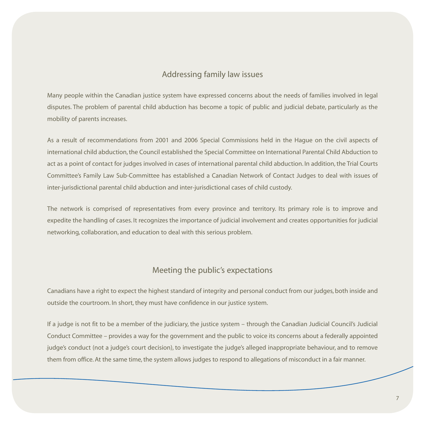## Addressing family law issues

<span id="page-10-0"></span>Many people within the Canadian justice system have expressed concerns about the needs of families involved in legal disputes. The problem of parental child abduction has become a topic of public and judicial debate, particularly as the mobility of parents increases.

As a result of recommendations from 2001 and 2006 Special Commissions held in the Hague on the civil aspects of international child abduction, the Council established the Special Committee on International Parental Child Abduction to act as a point of contact for judges involved in cases of international parental child abduction. In addition, the Trial Courts Committee's Family Law Sub-Committee has established a Canadian Network of Contact Judges to deal with issues of inter-jurisdictional parental child abduction and inter-jurisdictional cases of child custody.

The network is comprised of representatives from every province and territory. Its primary role is to improve and expedite the handling of cases. It recognizes the importance of judicial involvement and creates opportunities for judicial networking, collaboration, and education to deal with this serious problem.

## Meeting the public's expectations

Canadians have a right to expect the highest standard of integrity and personal conduct from our judges, both inside and outside the courtroom. In short, they must have confidence in our justice system.

If a judge is not fit to be a member of the judiciary, the justice system – through the Canadian Judicial Council's Judicial Conduct Committee – provides a way for the government and the public to voice its concerns about a federally appointed judge's conduct (not a judge's court decision), to investigate the judge's alleged inappropriate behaviour, and to remove them from office. At the same time, the system allows judges to respond to allegations of misconduct in a fair manner.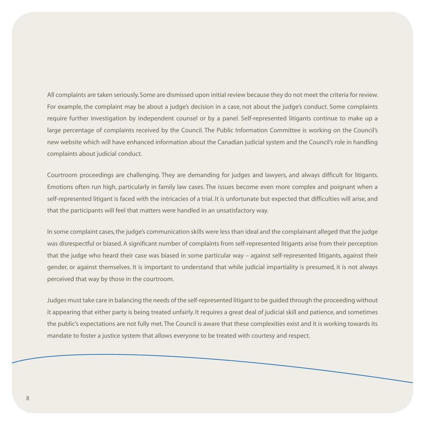All complaints are taken seriously. Some are dismissed upon initial review because they do not meet the criteria for review. For example, the complaint may be about a judge's decision in a case, not about the judge's conduct. Some complaints require further investigation by independent counsel or by a panel. Self-represented litigants continue to make up a large percentage of complaints received by the Council. The Public Information Committee is working on the Council's new website which will have enhanced information about the Canadian judicial system and the Council's role in handling complaints about judicial conduct.

Courtroom proceedings are challenging. They are demanding for judges and lawyers, and always difficult for litigants. Emotions often run high, particularly in family law cases. The issues become even more complex and poignant when a self-represented litigant is faced with the intricacies of a trial. It is unfortunate but expected that difficulties will arise, and that the participants will feel that matters were handled in an unsatisfactory way.

In some complaint cases, the judge's communication skills were less than ideal and the complainant alleged that the judge was disrespectful or biased. A significant number of complaints from self-represented litigants arise from their perception that the judge who heard their case was biased in some particular way – against self-represented litigants, against their gender, or against themselves. It is important to understand that while judicial impartiality is presumed, it is not always perceived that way by those in the courtroom.

Judges must take care in balancing the needs of the self-represented litigant to be guided through the proceeding without it appearing that either party is being treated unfairly. It requires a great deal of judicial skill and patience, and sometimes the public's expectations are not fully met. The Council is aware that these complexities exist and it is working towards its mandate to foster a justice system that allows everyone to be treated with courtesy and respect.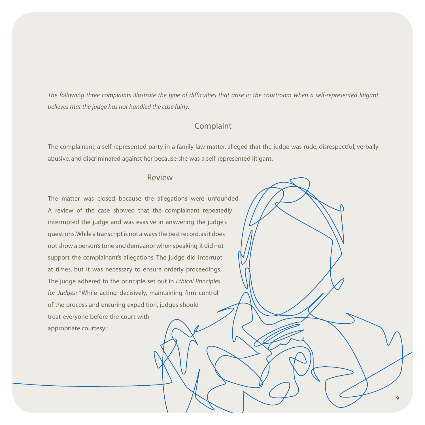*The following three complaints illustrate the type of difficulties that arise in the courtroom when a self-represented litigant believes that the judge has not handled the case fairly.*

# Complaint

The complainant, a self-represented party in a family law matter, alleged that the judge was rude, disrespectful, verbally abusive, and discriminated against her because she was a self-represented litigant.

9

#### Review

The matter was closed because the allegations were unfounded. A review of the case showed that the complainant repeatedly interrupted the judge and was evasive in answering the judge's questions. While a transcript is not always the best record, as it does not show a person's tone and demeanor when speaking, it did not support the complainant's allegations. The judge did interrupt at times, but it was necessary to ensure orderly proceedings. The judge adhered to the principle set out in *Ethical Principles for Judges:* "While acting decisively, maintaining firm control of the process and ensuring expedition, judges should treat everyone before the court with appropriate courtesy."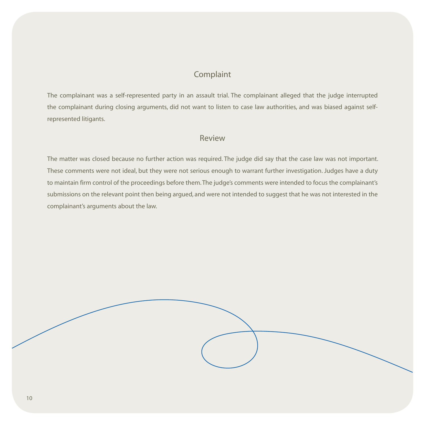# Complaint

The complainant was a self-represented party in an assault trial. The complainant alleged that the judge interrupted the complainant during closing arguments, did not want to listen to case law authorities, and was biased against selfrepresented litigants.

#### Review

The matter was closed because no further action was required. The judge did say that the case law was not important. These comments were not ideal, but they were not serious enough to warrant further investigation. Judges have a duty to maintain firm control of the proceedings before them. The judge's comments were intended to focus the complainant's submissions on the relevant point then being argued, and were not intended to suggest that he was not interested in the complainant's arguments about the law.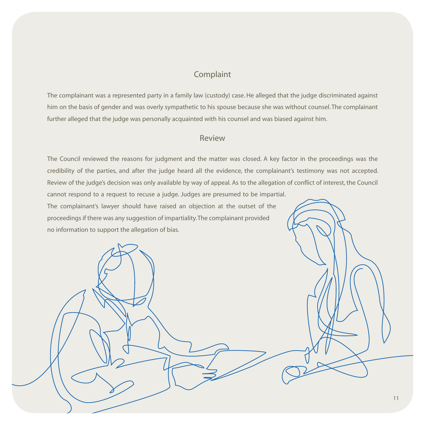## Complaint

The complainant was a represented party in a family law (custody) case. He alleged that the judge discriminated against him on the basis of gender and was overly sympathetic to his spouse because she was without counsel. The complainant further alleged that the judge was personally acquainted with his counsel and was biased against him.

#### Review

The Council reviewed the reasons for judgment and the matter was closed. A key factor in the proceedings was the credibility of the parties, and after the judge heard all the evidence, the complainant's testimony was not accepted. Review of the judge's decision was only available by way of appeal. As to the allegation of conflict of interest, the Council cannot respond to a request to recuse a judge. Judges are presumed to be impartial.

The complainant's lawyer should have raised an objection at the outset of the proceedings if there was any suggestion of impartiality. The complainant provided no information to support the allegation of bias.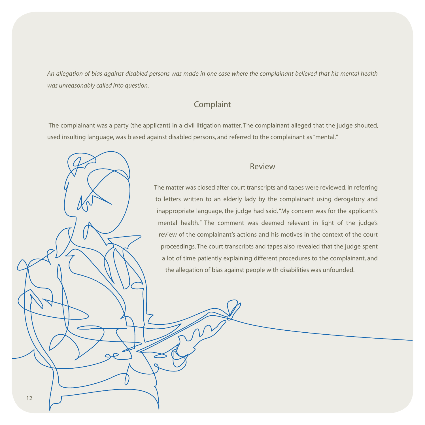*An allegation of bias against disabled persons was made in one case where the complainant believed that his mental health was unreasonably called into question.*

## Complaint

 The complainant was a party (the applicant) in a civil litigation matter. The complainant alleged that the judge shouted, used insulting language, was biased against disabled persons, and referred to the complainant as "mental."

#### Review

The matter was closed after court transcripts and tapes were reviewed. In referring to letters written to an elderly lady by the complainant using derogatory and inappropriate language, the judge had said, "My concern was for the applicant's mental health." The comment was deemed relevant in light of the judge's review of the complainant's actions and his motives in the context of the court proceedings. The court transcripts and tapes also revealed that the judge spent a lot of time patiently explaining different procedures to the complainant, and the allegation of bias against people with disabilities was unfounded.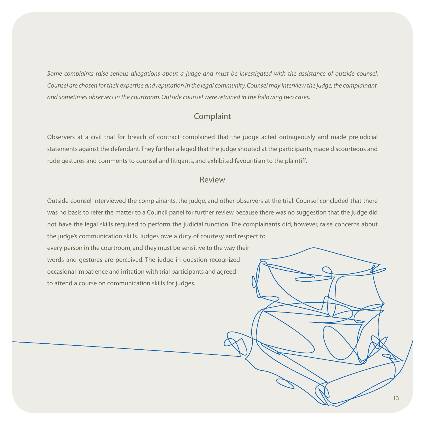*Some complaints raise serious allegations about a judge and must be investigated with the assistance of outside counsel. Counsel are chosen for their expertise and reputation in the legal community. Counsel may interview the judge, the complainant, and sometimes observers in the courtroom. Outside counsel were retained in the following two cases.*

# Complaint

Observers at a civil trial for breach of contract complained that the judge acted outrageously and made prejudicial statements against the defendant. They further alleged that the judge shouted at the participants, made discourteous and rude gestures and comments to counsel and litigants, and exhibited favouritism to the plaintiff.

#### Review

Outside counsel interviewed the complainants, the judge, and other observers at the trial. Counsel concluded that there was no basis to refer the matter to a Council panel for further review because there was no suggestion that the judge did not have the legal skills required to perform the judicial function. The complainants did, however, raise concerns about the judge's communication skills. Judges owe a duty of courtesy and respect to

every person in the courtroom, and they must be sensitive to the way their words and gestures are perceived. The judge in question recognized occasional impatience and irritation with trial participants and agreed to attend a course on communication skills for judges.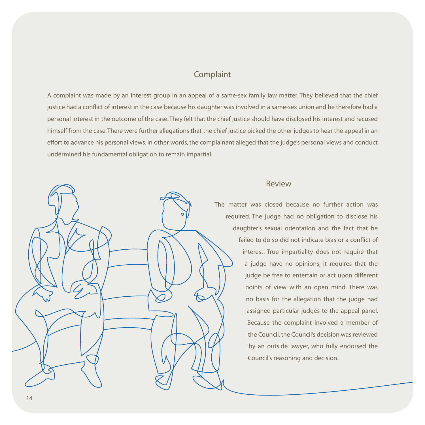## Complaint

A complaint was made by an interest group in an appeal of a same-sex family law matter. They believed that the chief justice had a conflict of interest in the case because his daughter was involved in a same-sex union and he therefore had a personal interest in the outcome of the case. They felt that the chief justice should have disclosed his interest and recused himself from the case. There were further allegations that the chief justice picked the other judges to hear the appeal in an effort to advance his personal views. In other words, the complainant alleged that the judge's personal views and conduct undermined his fundamental obligation to remain impartial.



#### Review

The matter was closed because no further action was required. The judge had no obligation to disclose his daughter's sexual orientation and the fact that he failed to do so did not indicate bias or a conflict of interest. True impartiality does not require that a judge have no opinions; it requires that the judge be free to entertain or act upon different points of view with an open mind. There was no basis for the allegation that the judge had assigned particular judges to the appeal panel. Because the complaint involved a member of the Council, the Council's decision was reviewed by an outside lawyer, who fully endorsed the Council's reasoning and decision.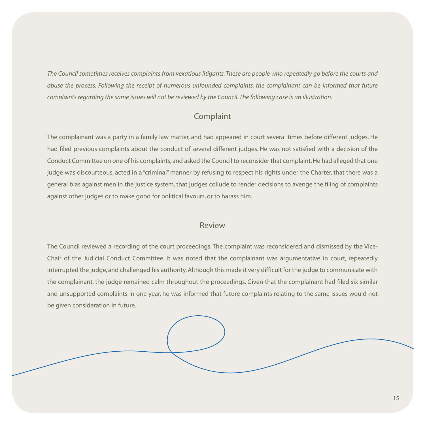*The Council sometimes receives complaints from vexatious litigants. These are people who repeatedly go before the courts and abuse the process. Following the receipt of numerous unfounded complaints, the complainant can be informed that future complaints regarding the same issues will not be reviewed by the Council. The following case is an illustration.*

# Complaint

The complainant was a party in a family law matter, and had appeared in court several times before different judges. He had filed previous complaints about the conduct of several different judges. He was not satisfied with a decision of the Conduct Committee on one of his complaints, and asked the Council to reconsider that complaint. He had alleged that one judge was discourteous, acted in a "criminal" manner by refusing to respect his rights under the Charter, that there was a general bias against men in the justice system, that judges collude to render decisions to avenge the filing of complaints against other judges or to make good for political favours, or to harass him.

#### Review

The Council reviewed a recording of the court proceedings. The complaint was reconsidered and dismissed by the Vice-Chair of the Judicial Conduct Committee. It was noted that the complainant was argumentative in court, repeatedly interrupted the judge, and challenged his authority. Although this made it very difficult for the judge to communicate with the complainant, the judge remained calm throughout the proceedings. Given that the complainant had filed six similar and unsupported complaints in one year, he was informed that future complaints relating to the same issues would not be given consideration in future.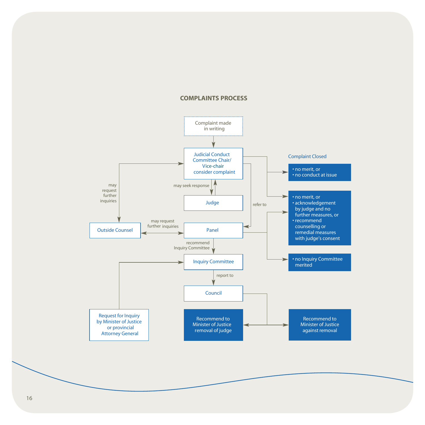#### **COMPLAINTS PROCESS**

<span id="page-19-0"></span>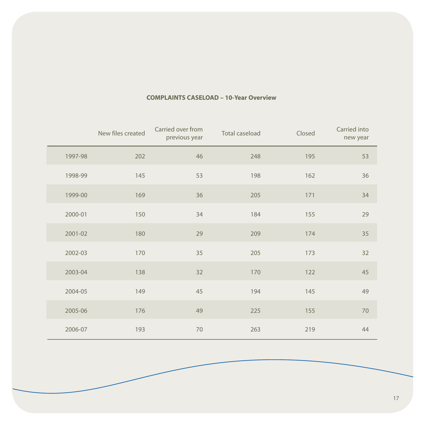<span id="page-20-0"></span>

|         | New files created | Carried over from<br>previous year | Total caseload | Closed | Carried into<br>new year |
|---------|-------------------|------------------------------------|----------------|--------|--------------------------|
| 1997-98 | 202               | $46$                               | 248            | 195    | 53                       |
| 1998-99 | 145               | 53                                 | 198            | 162    | 36                       |
| 1999-00 | 169               | 36                                 | 205            | 171    | 34                       |
| 2000-01 | 150               | 34                                 | 184            | 155    | 29                       |
| 2001-02 | 180               | 29                                 | 209            | 174    | 35                       |
| 2002-03 | 170               | 35                                 | 205            | 173    | 32                       |
| 2003-04 | 138               | 32                                 | 170            | 122    | 45                       |
| 2004-05 | 149               | 45                                 | 194            | 145    | 49                       |
| 2005-06 | 176               | 49                                 | 225            | 155    | 70                       |
| 2006-07 | 193               | $70\,$                             | 263            | 219    | 44                       |

#### **COMPLAINTS CASELOAD – 10-Year Overview**